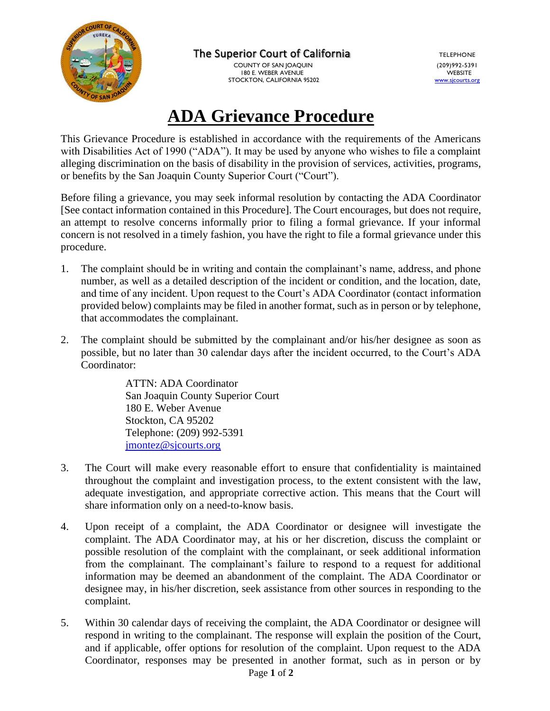

The Superior Court of California TELEPHONE

 COUNTY OF SAN JOAQUIN (209)992-5391 180 E. WEBER AVENUE STOCKTON, CALIFORNIA 95202

## **ADA Grievance Procedure**

This Grievance Procedure is established in accordance with the requirements of the Americans with Disabilities Act of 1990 ("ADA"). It may be used by anyone who wishes to file a complaint alleging discrimination on the basis of disability in the provision of services, activities, programs, or benefits by the San Joaquin County Superior Court ("Court").

Before filing a grievance, you may seek informal resolution by contacting the ADA Coordinator [See contact information contained in this Procedure]. The Court encourages, but does not require, an attempt to resolve concerns informally prior to filing a formal grievance. If your informal concern is not resolved in a timely fashion, you have the right to file a formal grievance under this procedure.

- 1. The complaint should be in writing and contain the complainant's name, address, and phone number, as well as a detailed description of the incident or condition, and the location, date, and time of any incident. Upon request to the Court's ADA Coordinator (contact information provided below) complaints may be filed in another format, such as in person or by telephone, that accommodates the complainant.
- 2. The complaint should be submitted by the complainant and/or his/her designee as soon as possible, but no later than 30 calendar days after the incident occurred, to the Court's ADA Coordinator:

ATTN: ADA Coordinator San Joaquin County Superior Court 180 E. Weber Avenue Stockton, CA 95202 Telephone: (209) 992-5391 [jmontez@sjcourts.org](mailto:jmontez@sjcourts.org)

- 3. The Court will make every reasonable effort to ensure that confidentiality is maintained throughout the complaint and investigation process, to the extent consistent with the law, adequate investigation, and appropriate corrective action. This means that the Court will share information only on a need-to-know basis.
- 4. Upon receipt of a complaint, the ADA Coordinator or designee will investigate the complaint. The ADA Coordinator may, at his or her discretion, discuss the complaint or possible resolution of the complaint with the complainant, or seek additional information from the complainant. The complainant's failure to respond to a request for additional information may be deemed an abandonment of the complaint. The ADA Coordinator or designee may, in his/her discretion, seek assistance from other sources in responding to the complaint.
- 5. Within 30 calendar days of receiving the complaint, the ADA Coordinator or designee will respond in writing to the complainant. The response will explain the position of the Court, and if applicable, offer options for resolution of the complaint. Upon request to the ADA Coordinator, responses may be presented in another format, such as in person or by